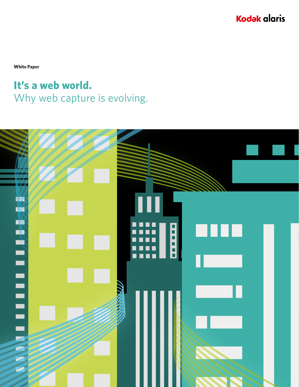**Kodak alaris** 

**White Paper**

### **It's a web world.** Why web capture is evolving.

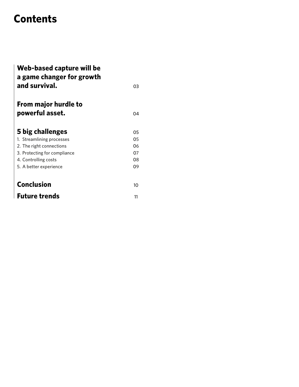## **Contents**

| Web-based capture will be<br>a game changer for growth |    |
|--------------------------------------------------------|----|
| and survival.                                          | 03 |
| From major hurdle to                                   |    |
| powerful asset.                                        | 04 |
|                                                        |    |
| 5 big challenges                                       | 05 |
| 1. Streamlining processes                              | 05 |
| 2. The right connections                               | 06 |
| 3. Protecting for compliance                           | 07 |
| 4. Controlling costs                                   | 08 |
| 5. A better experience                                 | 09 |
|                                                        |    |
| <b>Conclusion</b>                                      | 10 |
| <b>Future trends</b>                                   | 11 |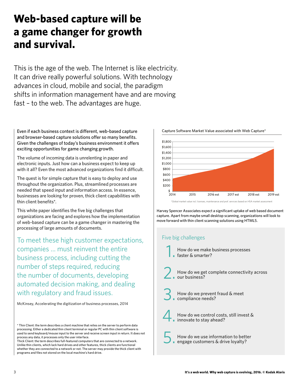### **Web-based capture will be a game changer for growth and survival.**

This is the age of the web. The Internet is like electricity. It can drive really powerful solutions. With technology advances in cloud, mobile and social, the paradigm shifts in information management have and are moving fast – to the web. The advantages are huge.

Even if each business context is different, web-based capture and browser-based capture solutions offer so many benefits. Given the challenges of today's business environment it offers exciting opportunities for game changing growth.

The volume of incoming data is unrelenting in paper and electronic inputs. Just how can a business expect to keep up with it all? Even the most advanced organizations find it difficult.

The quest is for simple capture that is easy to deploy and use throughout the organization. Plus, streamlined processes are needed that speed input and information access. In essence, businesses are looking for proven, thick client capabilities with thin client benefits\*.

This white paper identifies the five big challenges that organizations are facing and explores how the implementation of web-based capture can be a game changer in mastering the processing of large amounts of documents.

To meet these high customer expectations, companies … must reinvent the entire business process, including cutting the number of steps required, reducing the number of documents, developing automated decision making, and dealing with regulatory and fraud issues.

McKinsey, Accelerating the digitization of business processes, 2014

\* Thin Client: the term describes a client machine that relies on the server to perform data processing. Either a dedicated thin client terminal or regular PC with thin client software is used to send keyboard/mouse input to the server and receive screen input in return. It does not process any data, it processes only the user interface.

Thick Client: the term describes full-featured computers that are connected to a network. Unlike thin clients, which lack hard drives and other features, thick clients are functional whether they are connected to a network or not. The server may provide the thick client with programs and files not stored on the local machine's hard drive.



Capture Software Market Value associated with Web Capture\*

Harvey Spencer Associates expect a significant uptake of web based document capture. Apart from maybe small desktop scanning, organizations will look to move forward with thin client scanning solutions using HTML5.

#### Five big challenges

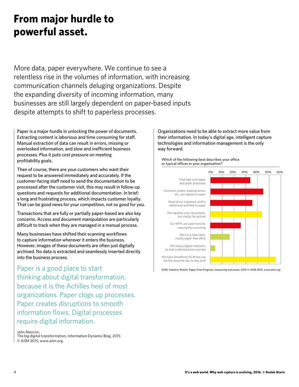### **From major hurdle to powerful asset.**

More data, paper everywhere. We continue to see a relentless rise in the volumes of information, with increasing communication channels deluging organizations. Despite the expanding diversity of incoming information, many businesses are still largely dependent on paper-based inputs despite attempts to shift to paperless processes.

Paper is a major hurdle in unlocking the power of documents. Extracting content is laborious and time consuming for staff. Manual extraction of data can result in errors, missing or overlooked information, and slow and inefficient business processes. Plus it puts cost pressure on meeting profitability goals.

Then of course, there are your customers who want their request to be answered immediately and accurately. If the customer-facing staff need to send the documentation to be processed after the customer visit, this may result in follow-up questions and requests for additional documentation. In brief: a long and frustrating process, which impacts customer loyalty. That can be good news for your competition, not so good for you.

Transactions that are fully or partially paper-based are also key concerns. Access and document manipulation are particularly difficult to track when they are managed in a manual process.

Many businesses have shifted their scanning workflows to capture information wherever it enters the business. However, images of these documents are often just digitally archived. No data is extracted and seamlessly inserted directly into the business process.

Paper is a good place to start thinking about digital transformation, because it is the Achilles heel of most organizations. Paper clogs up processes. Paper creates disruptions to smooth information flows. Digital processes require digital information.

John Mancini,

The big digital transformation, Information Dynamix Blog, 2015 © AIIM 2015, www.aiim.org

Organizations need to be able to extract more value from their information. In today's digital age, intelligent capture technologies and information management is the only way forward.



AIIM, Industry Watch, Paper-Free Progress: measuring outcomes, 2015 © AIIM 2015, www.aiim.org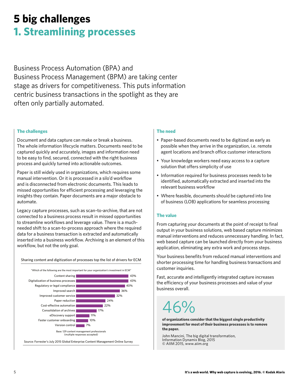### **5 big challenges 1. Streamlining processes**

Business Process Automation (BPA) and Business Process Management (BPM) are taking center stage as drivers for competitiveness. This puts information centric business transactions in the spotlight as they are often only partially automated.

#### **The challenges**

Document and data capture can make or break a business. The whole information lifecycle matters. Documents need to be captured quickly and accurately, images and information need to be easy to find, secured, connected with the right business process and quickly turned into actionable outcomes.

Paper is still widely used in organizations, which requires some manual intervention. Or it is processed in a silo'd workflow and is disconnected from electronic documents. This leads to missed opportunities for efficient processing and leveraging the insights they contain. Paper documents are a major obstacle to automate.

Legacy capture processes, such as scan–to-archive, that are not connected to a business process result in missed opportunities to streamline workflows and leverage value. There is a muchneeded shift to a scan-to-process approach where the required data for a business transaction is extracted and automatically inserted into a business workflow. Archiving is an element of this workflow, but not the only goal.

#### Sharing content and digitization of processes top the list of drivers for ECM



#### **The need**

- Paper-based documents need to be digitized as early as possible when they arrive in the organization, i.e. remote agent locations and branch office customer interactions
- Your knowledge workers need easy access to a capture solution that offers simplicity of use
- Information required for business processes needs to be identified, automatically extracted and inserted into the relevant business workflow
- Where feasible, documents should be captured into line of business (LOB) applications for seamless processing

#### **The value**

From capturing your documents at the point of receipt to final output in your business solutions, web based capture minimizes manual interventions and reduces unnecessary handling. In fact, web based capture can be launched directly from your business application, eliminating any extra work and process steps.

Your business benefits from reduced manual interventions and shorter processing time for handling business transactions and customer inquiries.

Fast, accurate and intelligently integrated capture increases the efficiency of your business processes and value of your business overall.

## 46%

**of organizations consider that the biggest single productivity improvement for most of their business processes is to remove the paper.**

John Mancini, The big digital transformation, Information Dynamix Blog, 2015 © AIIM 2015, www.aiim.org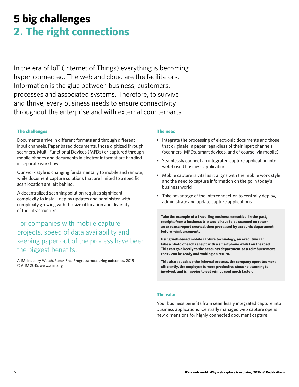### **5 big challenges 2. The right connections**

In the era of IoT (Internet of Things) everything is becoming hyper-connected. The web and cloud are the facilitators. Information is the glue between business, customers, processes and associated systems. Therefore, to survive and thrive, every business needs to ensure connectivity throughout the enterprise and with external counterparts.

#### **The challenges**

Documents arrive in different formats and through different input channels. Paper based documents, those digitized through scanners, Multi-Functional Devices (MFDs) or captured through mobile phones and documents in electronic format are handled in separate workflows.

Our work style is changing fundamentally to mobile and remote, while document capture solutions that are limited to a specific scan location are left behind.

A decentralized scanning solution requires significant complexity to install, deploy updates and administer, with complexity growing with the size of location and diversity of the infrastructure.

### For companies with mobile capture projects, speed of data availability and keeping paper out of the process have been the biggest benefits.

AIIM, Industry Watch, Paper-Free Progress: measuring outcomes, 2015 © AIIM 2015, www.aiim.org

#### **The need**

- Integrate the processing of electronic documents and those that originate in paper regardless of their input channels (scanners, MFDs, smart devices, and of course, via mobile)
- Seamlessly connect an integrated capture application into web-based business application
- Mobile capture is vital as it aligns with the mobile work style and the need to capture information on the go in today's business world
- Take advantage of the interconnection to centrally deploy, administrate and update capture applications

**Take the example of a travelling business executive. In the past, receipts from a business trip would have to be scanned on return, an expense report created, then processed by accounts department before reimbursement.**

**Using web-based mobile capture technology, an executive can take a photo of each receipt with a smartphone whilst on the road. This can go directly to the accounts department so a reimbursement check can be ready and waiting on return.**

**This also speeds up the internal process, the company operates more efficiently, the employee is more productive since no scanning is involved, and is happier to get reimbursed much faster.**

#### **The value**

Your business benefits from seamlessly integrated capture into business applications. Centrally managed web capture opens new dimensions for highly connected document capture.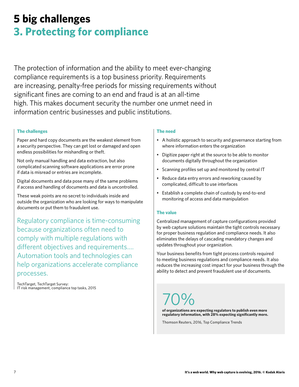### **5 big challenges 3. Protecting for compliance**

The protection of information and the ability to meet ever-changing compliance requirements is a top business priority. Requirements are increasing, penalty-free periods for missing requirements without significant fines are coming to an end and fraud is at an all-time high. This makes document security the number one unmet need in information centric businesses and public institutions.

#### **The challenges**

Paper and hard copy documents are the weakest element from a security perspective. They can get lost or damaged and open endless possibilities for mishandling or theft.

Not only manual handling and data extraction, but also complicated scanning software applications are error prone if data is misread or entries are incomplete.

Digital documents and data pose many of the same problems if access and handling of documents and data is uncontrolled.

These weak points are no secret to individuals inside and outside the organization who are looking for ways to manipulate documents or put them to fraudulent use.

Regulatory compliance is time-consuming because organizations often need to comply with multiple regulations with different objectives and requirements…. Automation tools and technologies can help organizations accelerate compliance processes.

TechTarget, TechTarget Survey: IT risk management, compliance top tasks, 2015

#### **The need**

- A holistic approach to security and governance starting from where information enters the organization
- Digitize paper right at the source to be able to monitor documents digitally throughout the organization
- Scanning profiles set up and monitored by central IT
- Reduce data entry errors and reworking caused by complicated, difficult to use interfaces
- Establish a complete chain of custody by end-to-end monitoring of access and data manipulation

#### **The value**

Centralized management of capture configurations provided by web capture solutions maintain the tight controls necessary for proper business regulation and compliance needs. It also eliminates the delays of cascading mandatory changes and updates throughout your organization.

Your business benefits from tight process controls required to meeting business regulations and compliance needs. It also reduces the increasing cost impact for your business through the ability to detect and prevent fraudulent use of documents.

70%

**of organizations are expecting regulators to publish even more regulatory information, with 28% expecting significantly more.**

Thomson Reuters, 2016, Top Compliance Trends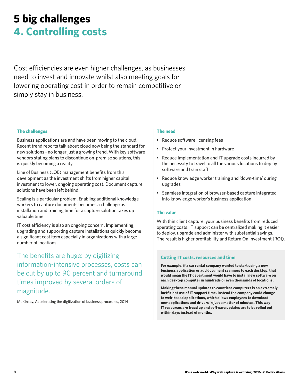### **5 big challenges 4. Controlling costs**

Cost efficiencies are even higher challenges, as businesses need to invest and innovate whilst also meeting goals for lowering operating cost in order to remain competitive or simply stay in business.

#### **The challenges**

Business applications are and have been moving to the cloud. Recent trend reports talk about cloud now being the standard for new solutions - no longer just a growing trend. With key software vendors stating plans to discontinue on-premise solutions, this is quickly becoming a reality.

Line of Business (LOB) management benefits from this development as the investment shifts from higher capital investment to lower, ongoing operating cost. Document capture solutions have been left behind.

Scaling is a particular problem. Enabling additional knowledge workers to capture documents becomes a challenge as installation and training time for a capture solution takes up valuable time.

IT cost efficiency is also an ongoing concern. Implementing, upgrading and supporting capture installations quickly become a significant cost item especially in organizations with a large number of locations.

The benefits are huge: by digitizing information-intensive processes, costs can be cut by up to 90 percent and turnaround times improved by several orders of magnitude.

McKinsey, Accelerating the digitization of business processes, 2014

#### **The need**

- Reduce software licensing fees
- Protect your investment in hardware
- Reduce implementation and IT upgrade costs incurred by the necessity to travel to all the various locations to deploy software and train staff
- Reduce knowledge worker training and 'down-time' during upgrades
- Seamless integration of browser-based capture integrated into knowledge worker's business application

#### **The value**

With thin client capture, your business benefits from reduced operating costs. IT support can be centralized making it easier to deploy, upgrade and administer with substantial savings. The result is higher profitability and Return On Investment (ROI).

#### **Cutting IT costs, resources and time**

**For example, if a car rental company wanted to start using a new business application or add document scanners to each desktop, that would mean the IT department would have to install new software on each desktop computer in hundreds or even thousands of locations.**

**Making these manual updates to countless computers is an extremely inefficient use of IT support time. Instead the company could change to web-based applications, which allows employees to download new applications and drivers in just a matter of minutes. This way IT resources are freed up and software updates are to be rolled out within days instead of months.**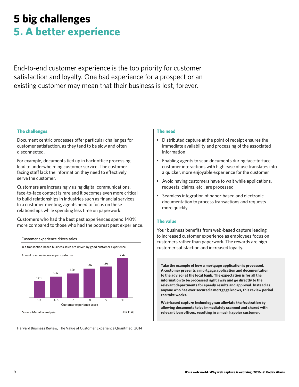### **5 big challenges 5. A better experience**

End-to-end customer experience is the top priority for customer satisfaction and loyalty. One bad experience for a prospect or an existing customer may mean that their business is lost, forever.

#### **The challenges**

Document centric processes offer particular challenges for customer satisfaction, as they tend to be slow and often disconnected.

For example, documents tied up in back-office processing lead to underwhelming customer service. The customer facing staff lack the information they need to effectively serve the customer.

Customers are increasingly using digital communications, face-to-face contact is rare and it becomes even more critical to build relationships in industries such as financial services. In a customer meeting, agents need to focus on these relationships while spending less time on paperwork.

Customers who had the best past experiences spend 140% more compared to those who had the poorest past experience.





Harvard Business Review, The Value of Customer Experience Quantified, 2014

#### **The need**

- Distributed capture at the point of receipt ensures the immediate availability and processing of the associated information
- Enabling agents to scan documents during face-to-face customer interactions with high ease of use translates into a quicker, more enjoyable experience for the customer
- Avoid having customers have to wait while applications, requests, claims, etc., are processed
- Seamless integration of paper-based and electronic documentation to process transactions and requests more quickly

#### **The value**

Your business benefits from web-based capture leading to increased customer experience as employees focus on customers rather than paperwork. The rewards are high customer satisfaction and increased loyalty.

**Take the example of how a mortgage application is processed. A customer presents a mortgage application and documentation to the advisor at the local bank. The expectation is for all the information to be processed right away and go directly to the relevant departments for speedy results and approval. Instead as anyone who has ever secured a mortgage knows, this review period can take weeks.** 

**Web-based capture technology can alleviate the frustration by allowing documents to be immediately scanned and shared with relevant loan offices, resulting in a much happier customer.**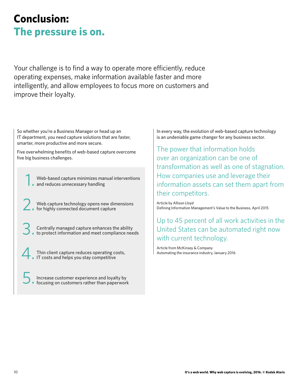### **Conclusion: The pressure is on.**

Your challenge is to find a way to operate more efficiently, reduce operating expenses, make information available faster and more intelligently, and allow employees to focus more on customers and improve their loyalty.

So whether you're a Business Manager or head up an IT department, you need capture solutions that are faster, smarter, more productive and more secure.

Five overwhelming benefits of web-based capture overcome five big business challenges.

1. Web-based capture minimizes manual interventions and reduces unnecessary handling

2. Web capture technology opens new dimensions for highly connected document capture

3. Centrally managed capture enhances the ability to protect information and meet compliance needs

4. Thin client capture reduces operating costs, IT costs and helps you stay competitive

5. Increase customer experience and loyalty by focusing on customers rather than paperwork In every way, the evolution of web-based capture technology is an undeniable game changer for any business sector.

The power that information holds over an organization can be one of transformation as well as one of stagnation. How companies use and leverage their information assets can set them apart from their competitors.

Article by Allison Lloyd Defining Information Management's Value to the Business, April 2015

Up to 45 percent of all work activities in the United States can be automated right now with current technology.

Article from McKinsey & Company Automating the insurance industry, January 2016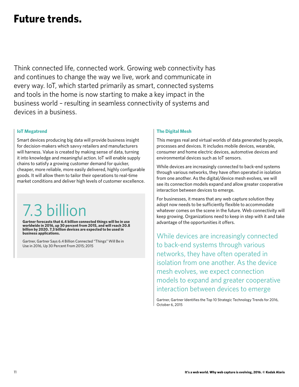### **Future trends.**

Think connected life, connected work. Growing web connectivity has and continues to change the way we live, work and communicate in every way. IoT, which started primarily as smart, connected systems and tools in the home is now starting to make a key impact in the business world – resulting in seamless connectivity of systems and devices in a business.

#### **IoT Megatrend**

Smart devices producing big data will provide business insight for decision-makers which savvy retailers and manufacturers will harness. Value is created by making sense of data, turning it into knowledge and meaningful action. IoT will enable supply chains to satisfy a growing customer demand for quicker, cheaper, more reliable, more easily delivered, highly configurable goods. It will allow them to tailor their operations to real-time market conditions and deliver high levels of customer excellence.

# 7.3 billion

**Gartner forecasts that 6.4 billion connected things will be in use worldwide in 2016, up 30 percent from 2015, and will reach 20.8 billion by 2020. 7.3 billion devices are expected to be used in business applications.**

Gartner, Gartner Says 6.4 Billion Connected "Things" Will Be in Use in 2016, Up 30 Percent From 2015; 2015

#### **The Digital Mesh**

This merges real and virtual worlds of data generated by people, processes and devices. It includes mobile devices, wearable, consumer and home electric devices, automotive devices and environmental devices such as IoT sensors.

While devices are increasingly connected to back-end systems through various networks, they have often operated in isolation from one another. As the digital/device mesh evolves, we will see its connection models expand and allow greater cooperative interaction between devices to emerge.

For businesses, it means that any web capture solution they adopt now needs to be sufficiently flexible to accommodate whatever comes on the scene in the future. Web connectivity will keep growing. Organizations need to keep in step with it and take advantage of the opportunities it offers.

While devices are increasingly connected to back-end systems through various networks, they have often operated in isolation from one another. As the device mesh evolves, we expect connection models to expand and greater cooperative interaction between devices to emerge

Gartner, Gartner Identifies the Top 10 Strategic Technology Trends for 2016, October 6, 2015